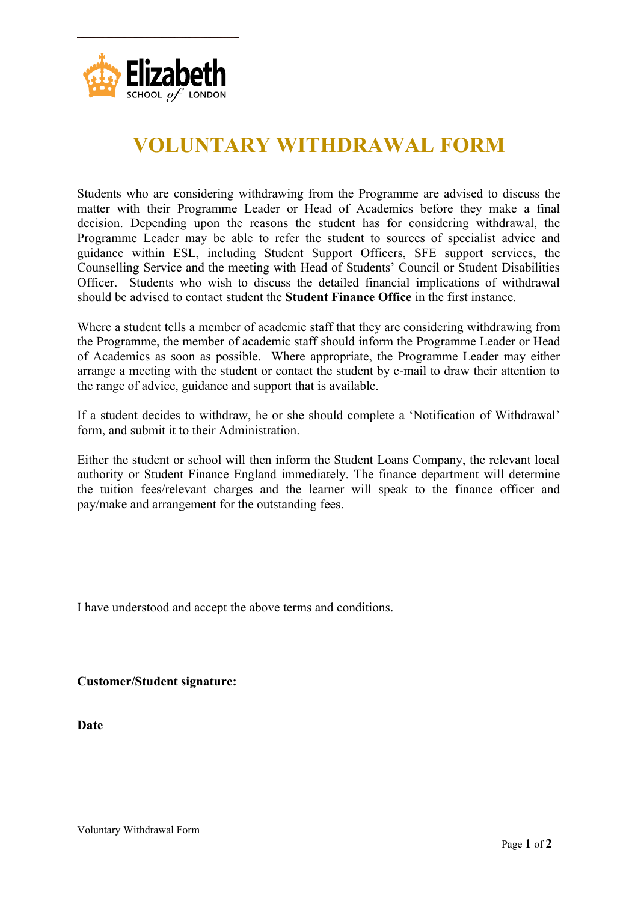

## **VOLUNTARY WITHDRAWAL FORM**

Students who are considering withdrawing from the Programme are advised to discuss the matter with their Programme Leader or Head of Academics before they make a final decision. Depending upon the reasons the student has for considering withdrawal, the Programme Leader may be able to refer the student to sources of specialist advice and guidance within ESL, including Student Support Officers, SFE support services, the Counselling Service and the meeting with Head of Students' Council or Student Disabilities Officer. Students who wish to discuss the detailed financial implications of withdrawal should be advised to contact student the **Student Finance Office** in the first instance.

Where a student tells a member of academic staff that they are considering withdrawing from the Programme, the member of academic staff should inform the Programme Leader or Head of Academics as soon as possible. Where appropriate, the Programme Leader may either arrange a meeting with the student or contact the student by e-mail to draw their attention to the range of advice, guidance and support that is available.

If a student decides to withdraw, he or she should complete a 'Notification of Withdrawal' form, and submit it to their Administration.

Either the student or school will then inform the Student Loans Company, the relevant local authority or Student Finance England immediately. The finance department will determine the tuition fees/relevant charges and the learner will speak to the finance officer and pay/make and arrangement for the outstanding fees.

I have understood and accept the above terms and conditions.

**Customer/Student signature:** 

**Date**